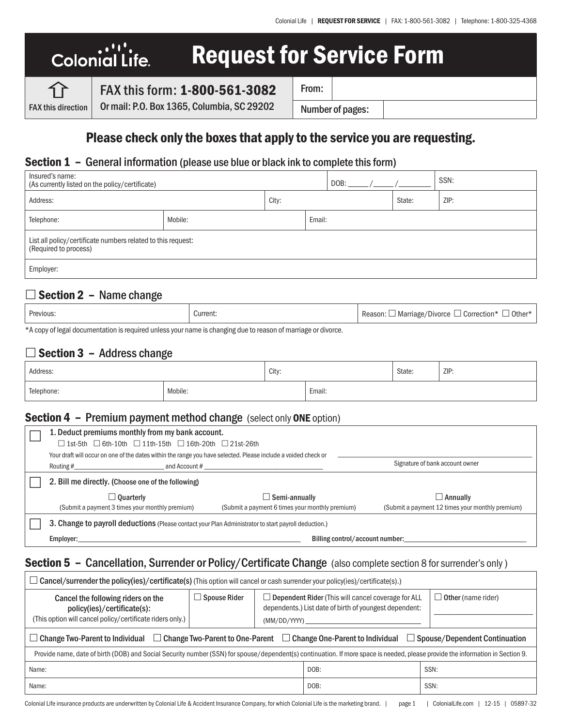# .۰'۱'.<br>.Colonial Life Request for Service Form

FAX this direction

FAX this form: 1-800-561-3082

Or mail: P.O. Box 1365, Columbia, SC 29202

Number of pages:

From:

Please check only the boxes that apply to the service you are requesting.

### Section 1 – General information (please use blue or black ink to complete this form)

| Insured's name:<br>(As currently listed on the policy/certificate)                    |         |       |        | DOB:   |      | SSN: |
|---------------------------------------------------------------------------------------|---------|-------|--------|--------|------|------|
| Address:                                                                              |         | City: |        | State: | ZIP: |      |
| Telephone:                                                                            | Mobile: |       | Email: |        |      |      |
| List all policy/certificate numbers related to this request:<br>(Required to process) |         |       |        |        |      |      |
| Employer:                                                                             |         |       |        |        |      |      |

# $\Box$  Section 2 – Name change

| Previous.                | Current: | . Other*<br>. Correction*<br>」Marriage/'<br>/Divorce<br>Reason:<br>$\cdot$ |
|--------------------------|----------|----------------------------------------------------------------------------|
| $\mathbf{a}$<br>. .<br>. |          |                                                                            |

\*A copy of legal documentation is required unless your name is changing due to reason of marriage or divorce.

# $\Box$  Section 3 – Address change

| Address:   |         | City: |        | State: | ZIP: |
|------------|---------|-------|--------|--------|------|
| Telephone: | Mobile: |       | Email: |        |      |

### Section 4 – Premium payment method change (select only ONE option)

| 1. Deduct premiums monthly from my bank account.<br>$\Box$ 1st-5th $\Box$ 6th-10th $\Box$ 11th-15th $\Box$ 16th-20th $\Box$ 21st-26th |                                                 |                                                  |  |  |  |  |
|---------------------------------------------------------------------------------------------------------------------------------------|-------------------------------------------------|--------------------------------------------------|--|--|--|--|
| Your draft will occur on one of the dates within the range you have selected. Please include a voided check or                        |                                                 |                                                  |  |  |  |  |
| Signature of bank account owner<br>and Account #<br>Routing #                                                                         |                                                 |                                                  |  |  |  |  |
| 2. Bill me directly. (Choose one of the following)                                                                                    |                                                 |                                                  |  |  |  |  |
| <b>△Ouarterly</b>                                                                                                                     | Semi-annually                                   | $\Box$ Annuallv                                  |  |  |  |  |
| (Submit a payment 3 times your monthly premium)                                                                                       | (Submit a payment 6 times your monthly premium) | (Submit a payment 12 times your monthly premium) |  |  |  |  |
| 3. Change to payroll deductions (Please contact your Plan Administrator to start payroll deduction.)                                  |                                                 |                                                  |  |  |  |  |
| Billing control/account number:<br>Employer:                                                                                          |                                                 |                                                  |  |  |  |  |

### Section 5 - Cancellation, Surrender or Policy/Certificate Change (also complete section 8 for surrender's only)

| $\Box$ Cancel/surrender the policy(ies)/certificate(s) (This option will cancel or cash surrender your policy(ies)/certificate(s).)                                            |                     |              |                                                                                                                     |                           |  |
|--------------------------------------------------------------------------------------------------------------------------------------------------------------------------------|---------------------|--------------|---------------------------------------------------------------------------------------------------------------------|---------------------------|--|
| Cancel the following riders on the<br>policy(ies)/certificate(s):<br>(This option will cancel policy/certificate riders only.)                                                 | $\Box$ Spouse Rider | (MM/DD/YYYY) | $\Box$ Dependent Rider (This will cancel coverage for ALL<br>dependents.) List date of birth of youngest dependent: | $\Box$ Other (name rider) |  |
| $\Box$ Change Two-Parent to One-Parent $\Box$ Change One-Parent to Individual<br>$\Box$ Change Two-Parent to Individual<br>Spouse/Dependent Continuation                       |                     |              |                                                                                                                     |                           |  |
| Provide name, date of birth (DOB) and Social Security number (SSN) for spouse/dependent(s) continuation. If more space is needed, please provide the information in Section 9. |                     |              |                                                                                                                     |                           |  |
| SSN:<br>DOB:<br>Name:                                                                                                                                                          |                     |              |                                                                                                                     |                           |  |
| SSN:<br>DOB:<br>Name:                                                                                                                                                          |                     |              |                                                                                                                     |                           |  |
|                                                                                                                                                                                |                     |              |                                                                                                                     |                           |  |